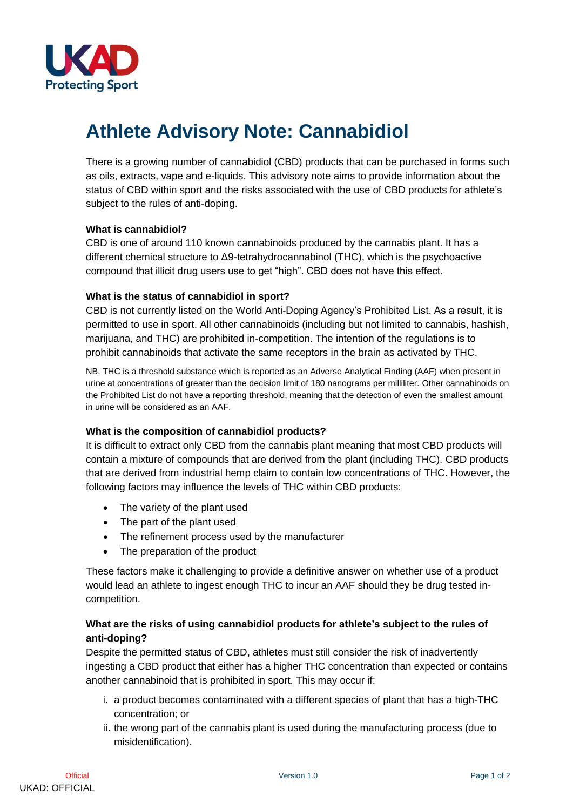

# **Athlete Advisory Note: Cannabidiol**

There is a growing number of cannabidiol (CBD) products that can be purchased in forms such as oils, extracts, vape and e-liquids. This advisory note aims to provide information about the status of CBD within sport and the risks associated with the use of CBD products for athlete's subject to the rules of anti-doping.

#### **What is cannabidiol?**

CBD is one of around 110 known cannabinoids produced by the cannabis plant. It has a different chemical structure to Δ9-tetrahydrocannabinol (THC), which is the psychoactive compound that illicit drug users use to get "high". CBD does not have this effect.

### **What is the status of cannabidiol in sport?**

CBD is not currently listed on the World Anti-Doping Agency's Prohibited List. As a result, it is permitted to use in sport. All other cannabinoids (including but not limited to cannabis, hashish, marijuana, and THC) are prohibited in-competition. The intention of the regulations is to prohibit cannabinoids that activate the same receptors in the brain as activated by THC.

NB. THC is a threshold substance which is reported as an Adverse Analytical Finding (AAF) when present in urine at concentrations of greater than the decision limit of 180 nanograms per milliliter. Other cannabinoids on the Prohibited List do not have a reporting threshold, meaning that the detection of even the smallest amount in urine will be considered as an AAF.

#### **What is the composition of cannabidiol products?**

It is difficult to extract only CBD from the cannabis plant meaning that most CBD products will contain a mixture of compounds that are derived from the plant (including THC). CBD products that are derived from industrial hemp claim to contain low concentrations of THC. However, the following factors may influence the levels of THC within CBD products:

- The variety of the plant used
- The part of the plant used
- The refinement process used by the manufacturer
- The preparation of the product

These factors make it challenging to provide a definitive answer on whether use of a product would lead an athlete to ingest enough THC to incur an AAF should they be drug tested incompetition.

## **What are the risks of using cannabidiol products for athlete's subject to the rules of anti-doping?**

Despite the permitted status of CBD, athletes must still consider the risk of inadvertently ingesting a CBD product that either has a higher THC concentration than expected or contains another cannabinoid that is prohibited in sport. This may occur if:

- i. a product becomes contaminated with a different species of plant that has a high-THC concentration; or
- ii. the wrong part of the cannabis plant is used during the manufacturing process (due to misidentification).